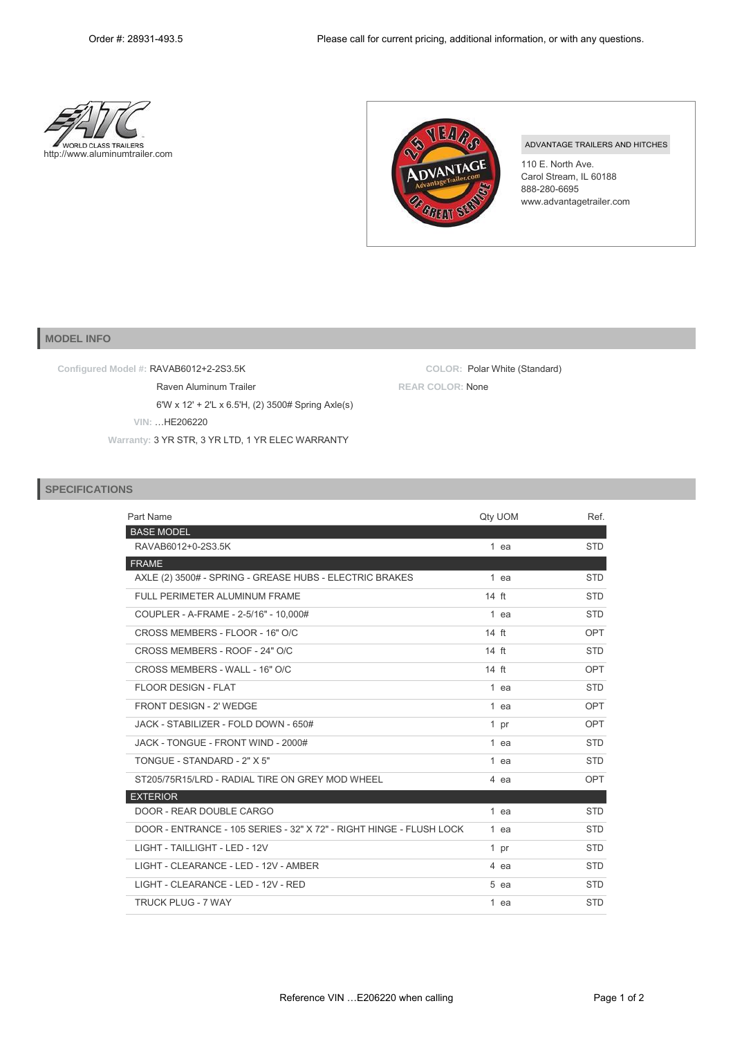COLOR: Polar White (Standard)





**REAR COLOR: None** 

## ADVANTAGE TRAILERS AND HITCHES

110 E. North Ave. Carol Stream, IL 60188 888-280-6695 www.advantagetrailer.com

## **MODEL INFO**

Configured Model #: RAVAB6012+2-2S3.5K

Raven Aluminum Trailer 6'W x 12' + 2'L x 6.5'H, (2) 3500# Spring Axle(s)

VIN: ... HE206220

Warranty: 3 YR STR, 3 YR LTD, 1 YR ELEC WARRANTY

## **SPECIFICATIONS**

| Part Name                                                           | Qty UOM         | Ref.       |
|---------------------------------------------------------------------|-----------------|------------|
| <b>BASE MODEL</b>                                                   |                 |            |
| RAVAB6012+0-2S3.5K                                                  | 1 ea            | <b>STD</b> |
| <b>FRAME</b>                                                        |                 |            |
| AXLE (2) 3500# - SPRING - GREASE HUBS - ELECTRIC BRAKES             | 1 ea            | <b>STD</b> |
| FULL PERIMETER ALUMINUM FRAME                                       | $14$ ft         | <b>STD</b> |
| COUPLER - A-FRAME - 2-5/16" - 10.000#                               | 1 ea            | <b>STD</b> |
| CROSS MEMBERS - FLOOR - 16" O/C                                     | 14 ft           | OPT        |
| CROSS MEMBERS - ROOF - 24" O/C                                      | $14 \text{ ft}$ | <b>STD</b> |
| CROSS MEMBERS - WALL - 16" O/C                                      | $14 \text{ ft}$ | OPT        |
| <b>FLOOR DESIGN - FLAT</b>                                          | $1$ ea          | <b>STD</b> |
| FRONT DESIGN - 2' WEDGE                                             | 1 ea            | OPT        |
| JACK - STABILIZER - FOLD DOWN - 650#                                | 1 pr            | OPT        |
| JACK - TONGUE - FRONT WIND - 2000#                                  | $1$ ea          | <b>STD</b> |
| TONGUE - STANDARD - 2" X 5"                                         | 1 ea            | <b>STD</b> |
| ST205/75R15/LRD - RADIAL TIRE ON GREY MOD WHEEL                     | 4 ea            | OPT        |
| <b>EXTERIOR</b>                                                     |                 |            |
| DOOR - REAR DOUBLE CARGO                                            | 1 ea            | <b>STD</b> |
| DOOR - ENTRANCE - 105 SERIES - 32" X 72" - RIGHT HINGE - FLUSH LOCK | 1 ea            | <b>STD</b> |
| LIGHT - TAILLIGHT - LED - 12V                                       | 1 pr            | <b>STD</b> |
| LIGHT - CLEARANCE - LED - 12V - AMBER                               | 4 ea            | <b>STD</b> |
| LIGHT - CLEARANCE - LED - 12V - RED                                 | 5 ea            | <b>STD</b> |
| <b>TRUCK PLUG - 7 WAY</b>                                           | 1 ea            | <b>STD</b> |